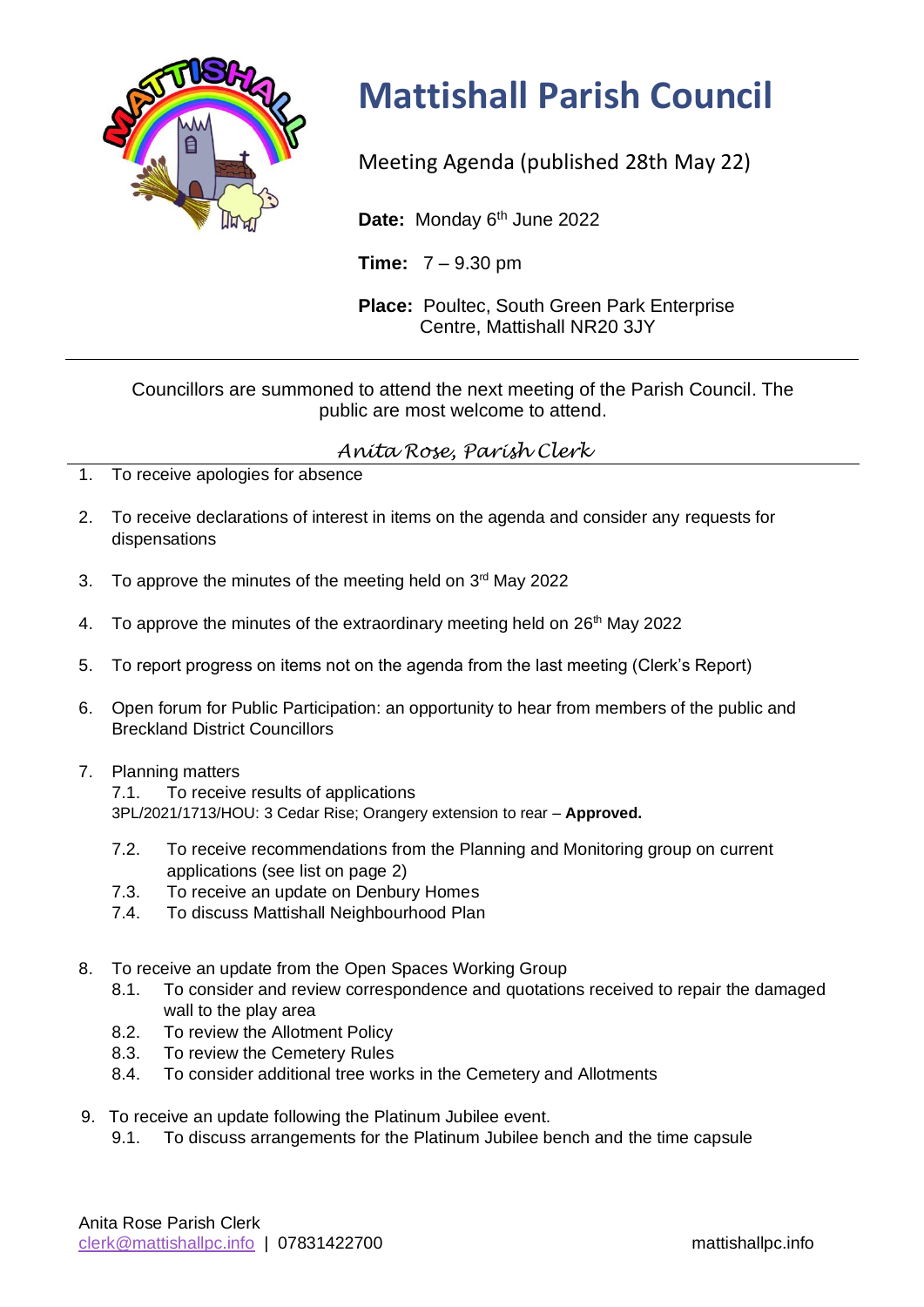

## **Mattishall Parish Council**

Meeting Agenda (published 28th May 22)

Date: Monday 6<sup>th</sup> June 2022

**Time:** 7 – 9.30 pm

**Place:** Poultec, South Green Park Enterprise Centre, Mattishall NR20 3JY

## Councillors are summoned to attend the next meeting of the Parish Council. The public are most welcome to attend.

## *Anita Rose, Parish Clerk*

- 1. To receive apologies for absence
- 2. To receive declarations of interest in items on the agenda and consider any requests for dispensations
- 3. To approve the minutes of the meeting held on  $3<sup>rd</sup>$  May 2022
- 4. To approve the minutes of the extraordinary meeting held on 26<sup>th</sup> May 2022
- 5. To report progress on items not on the agenda from the last meeting (Clerk's Report)
- 6. Open forum for Public Participation: an opportunity to hear from members of the public and Breckland District Councillors
- 7. Planning matters

7.1. To receive results of applications 3PL/2021/1713/HOU: 3 Cedar Rise; Orangery extension to rear – **Approved.**

- 7.2. To receive recommendations from the Planning and Monitoring group on current applications (see list on page 2)
- 7.3. To receive an update on Denbury Homes
- 7.4. To discuss Mattishall Neighbourhood Plan
- 8. To receive an update from the Open Spaces Working Group
	- 8.1. To consider and review correspondence and quotations received to repair the damaged wall to the play area
	- 8.2. To review the Allotment Policy
	- 8.3. To review the Cemetery Rules
	- 8.4. To consider additional tree works in the Cemetery and Allotments
- 9. To receive an update following the Platinum Jubilee event.
	- 9.1. To discuss arrangements for the Platinum Jubilee bench and the time capsule